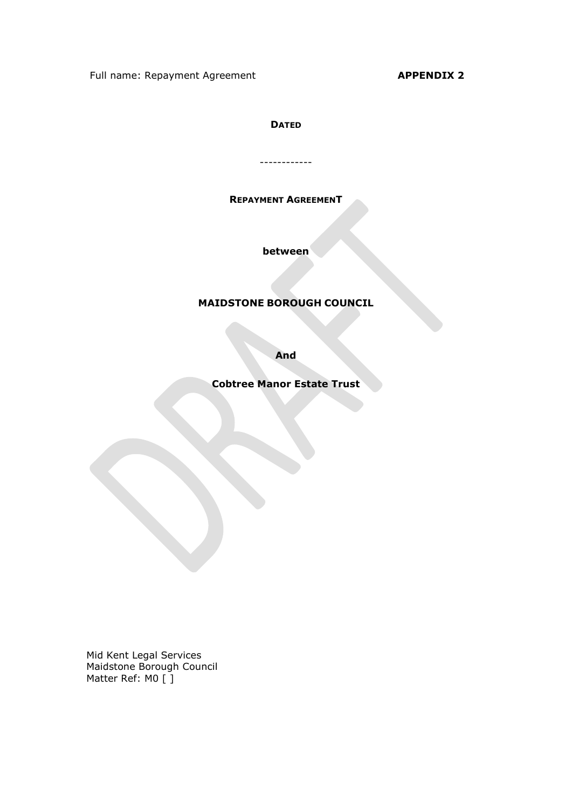Full name: Repayment Agreement Approximation APPENDIX 2

## **DATED**

------------

### REPAYMENT AGREEMENT

between

# MAIDSTONE BOROUGH COUNCIL

And

Cobtree Manor Estate Trust

Mid Kent Legal Services Maidstone Borough Council Matter Ref: M0 [ ]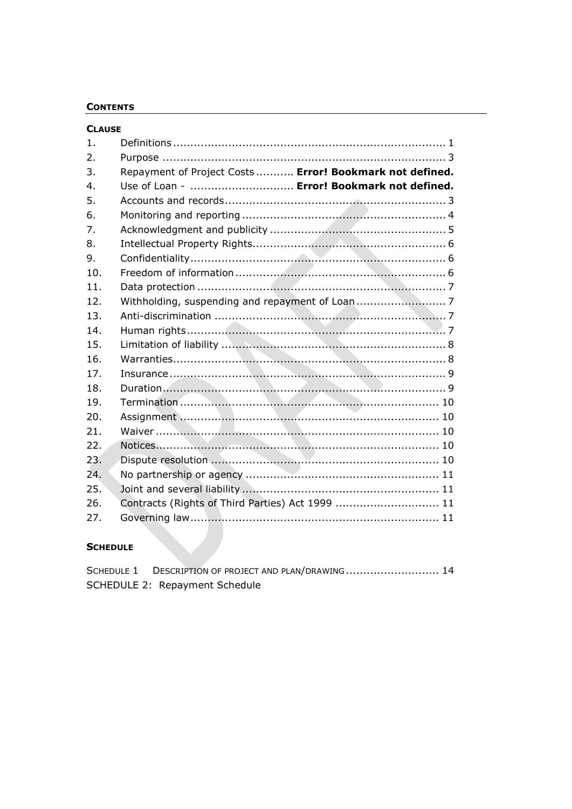## **CONTENTS**

| <b>CLAUSE</b>   |                                                          |  |  |
|-----------------|----------------------------------------------------------|--|--|
| 1.              |                                                          |  |  |
| 2.              |                                                          |  |  |
| 3.              | Repayment of Project Costs  Error! Bookmark not defined. |  |  |
| 4.              | Use of Loan -  Error! Bookmark not defined.              |  |  |
| 5.              |                                                          |  |  |
| 6.              |                                                          |  |  |
| 7.              |                                                          |  |  |
| 8.              |                                                          |  |  |
| 9.              |                                                          |  |  |
| 10.             |                                                          |  |  |
| 11.             |                                                          |  |  |
| 12.             |                                                          |  |  |
| 13.             |                                                          |  |  |
| 14.             |                                                          |  |  |
| 15.             |                                                          |  |  |
| 16.             |                                                          |  |  |
| 17.             |                                                          |  |  |
| 18.             |                                                          |  |  |
| 19.             |                                                          |  |  |
| 20.             |                                                          |  |  |
| 21.             |                                                          |  |  |
| 22.             |                                                          |  |  |
| 23.             |                                                          |  |  |
| 24.             |                                                          |  |  |
| 25.             |                                                          |  |  |
| 26.             | Contracts (Rights of Third Parties) Act 1999  11         |  |  |
| 27.             |                                                          |  |  |
| <b>SCHEDULE</b> |                                                          |  |  |

# **SCHEDULE**

| SCHEDULE 1 DESCRIPTION OF PROJECT AND PLAN/DRAWING 14 |  |
|-------------------------------------------------------|--|
| SCHEDULE 2: Repayment Schedule                        |  |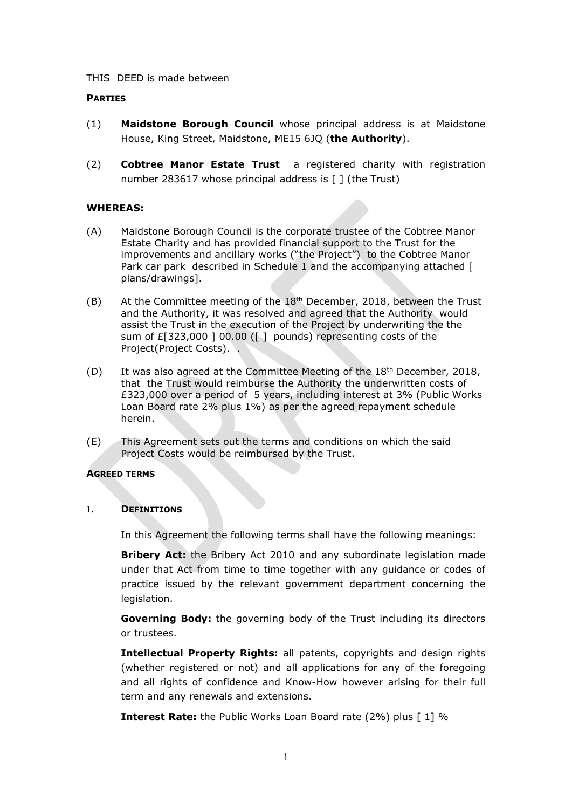#### THIS DEED is made between

#### **PARTIES**

- (1) Maidstone Borough Council whose principal address is at Maidstone House, King Street, Maidstone, ME15 6JQ (the Authority).
- (2) Cobtree Manor Estate Trust a registered charity with registration number 283617 whose principal address is [ ] (the Trust)

#### WHEREAS:

- (A) Maidstone Borough Council is the corporate trustee of the Cobtree Manor Estate Charity and has provided financial support to the Trust for the improvements and ancillary works ("the Project") to the Cobtree Manor Park car park described in Schedule 1 and the accompanying attached [ plans/drawings].
- $(B)$  At the Committee meeting of the 18<sup>th</sup> December, 2018, between the Trust and the Authority, it was resolved and agreed that the Authority would assist the Trust in the execution of the Project by underwriting the the sum of £[323,000 ] 00.00 ([ ] pounds) representing costs of the Project(Project Costs). .
- (D) It was also agreed at the Committee Meeting of the 18<sup>th</sup> December, 2018, that the Trust would reimburse the Authority the underwritten costs of £323,000 over a period of 5 years, including interest at 3% (Public Works Loan Board rate 2% plus 1%) as per the agreed repayment schedule herein.
- (E) This Agreement sets out the terms and conditions on which the said Project Costs would be reimbursed by the Trust.

#### AGREED TERMS

#### 1. DEFINITIONS

In this Agreement the following terms shall have the following meanings:

**Bribery Act:** the Bribery Act 2010 and any subordinate legislation made under that Act from time to time together with any guidance or codes of practice issued by the relevant government department concerning the legislation.

Governing Body: the governing body of the Trust including its directors or trustees.

Intellectual Property Rights: all patents, copyrights and design rights (whether registered or not) and all applications for any of the foregoing and all rights of confidence and Know-How however arising for their full term and any renewals and extensions.

**Interest Rate:** the Public Works Loan Board rate (2%) plus [1] %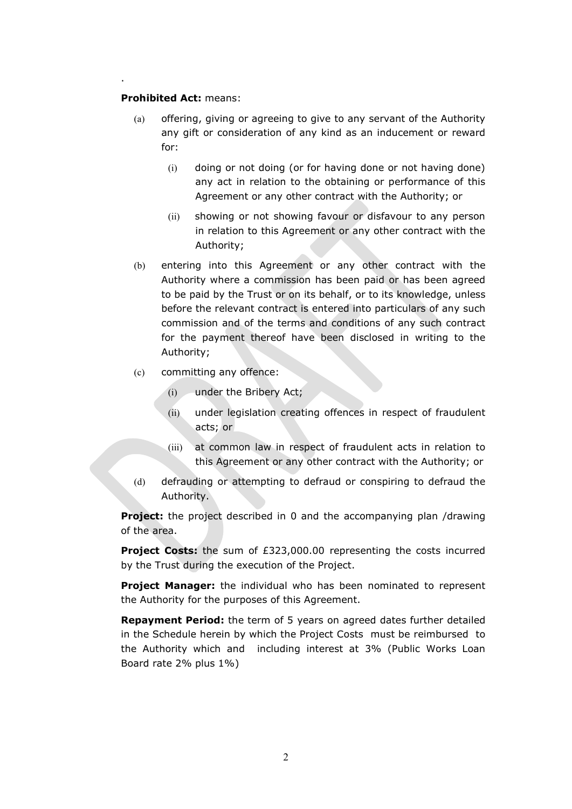#### Prohibited Act: means:

.

- (a) offering, giving or agreeing to give to any servant of the Authority any gift or consideration of any kind as an inducement or reward for:
	- (i) doing or not doing (or for having done or not having done) any act in relation to the obtaining or performance of this Agreement or any other contract with the Authority; or
	- (ii) showing or not showing favour or disfavour to any person in relation to this Agreement or any other contract with the Authority;
- (b) entering into this Agreement or any other contract with the Authority where a commission has been paid or has been agreed to be paid by the Trust or on its behalf, or to its knowledge, unless before the relevant contract is entered into particulars of any such commission and of the terms and conditions of any such contract for the payment thereof have been disclosed in writing to the Authority;
- (c) committing any offence:
	- (i) under the Bribery Act;
	- (ii) under legislation creating offences in respect of fraudulent acts; or
	- (iii) at common law in respect of fraudulent acts in relation to this Agreement or any other contract with the Authority; or
- (d) defrauding or attempting to defraud or conspiring to defraud the Authority.

**Project:** the project described in 0 and the accompanying plan /drawing of the area.

Project Costs: the sum of £323,000.00 representing the costs incurred by the Trust during the execution of the Project.

**Project Manager:** the individual who has been nominated to represent the Authority for the purposes of this Agreement.

**Repayment Period:** the term of 5 years on agreed dates further detailed in the Schedule herein by which the Project Costs must be reimbursed to the Authority which and including interest at 3% (Public Works Loan Board rate 2% plus 1%)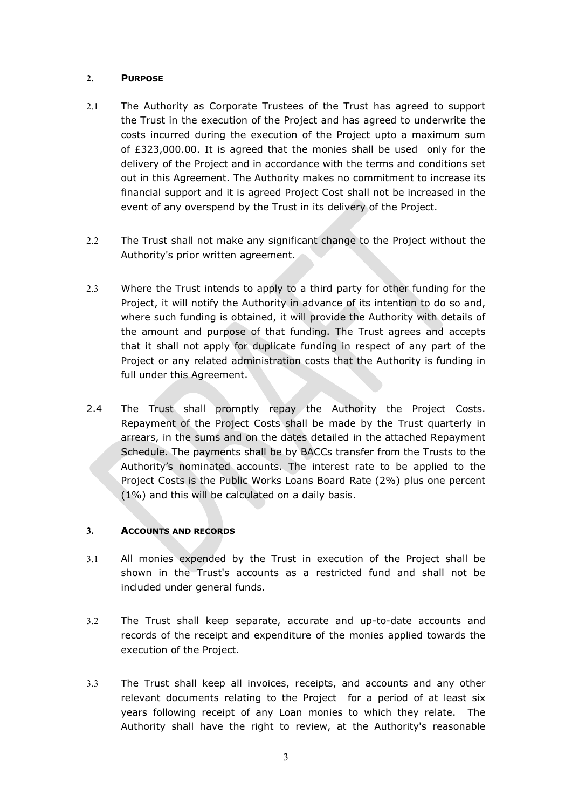## 2. PURPOSE

- 2.1 The Authority as Corporate Trustees of the Trust has agreed to support the Trust in the execution of the Project and has agreed to underwrite the costs incurred during the execution of the Project upto a maximum sum of £323,000.00. It is agreed that the monies shall be used only for the delivery of the Project and in accordance with the terms and conditions set out in this Agreement. The Authority makes no commitment to increase its financial support and it is agreed Project Cost shall not be increased in the event of any overspend by the Trust in its delivery of the Project.
- 2.2 The Trust shall not make any significant change to the Project without the Authority's prior written agreement.
- 2.3 Where the Trust intends to apply to a third party for other funding for the Project, it will notify the Authority in advance of its intention to do so and, where such funding is obtained, it will provide the Authority with details of the amount and purpose of that funding. The Trust agrees and accepts that it shall not apply for duplicate funding in respect of any part of the Project or any related administration costs that the Authority is funding in full under this Agreement.
- 2.4 The Trust shall promptly repay the Authority the Project Costs. Repayment of the Project Costs shall be made by the Trust quarterly in arrears, in the sums and on the dates detailed in the attached Repayment Schedule. The payments shall be by BACCs transfer from the Trusts to the Authority's nominated accounts. The interest rate to be applied to the Project Costs is the Public Works Loans Board Rate (2%) plus one percent (1%) and this will be calculated on a daily basis.

### 3. ACCOUNTS AND RECORDS

- 3.1 All monies expended by the Trust in execution of the Project shall be shown in the Trust's accounts as a restricted fund and shall not be included under general funds.
- 3.2 The Trust shall keep separate, accurate and up-to-date accounts and records of the receipt and expenditure of the monies applied towards the execution of the Project.
- 3.3 The Trust shall keep all invoices, receipts, and accounts and any other relevant documents relating to the Project for a period of at least six years following receipt of any Loan monies to which they relate. The Authority shall have the right to review, at the Authority's reasonable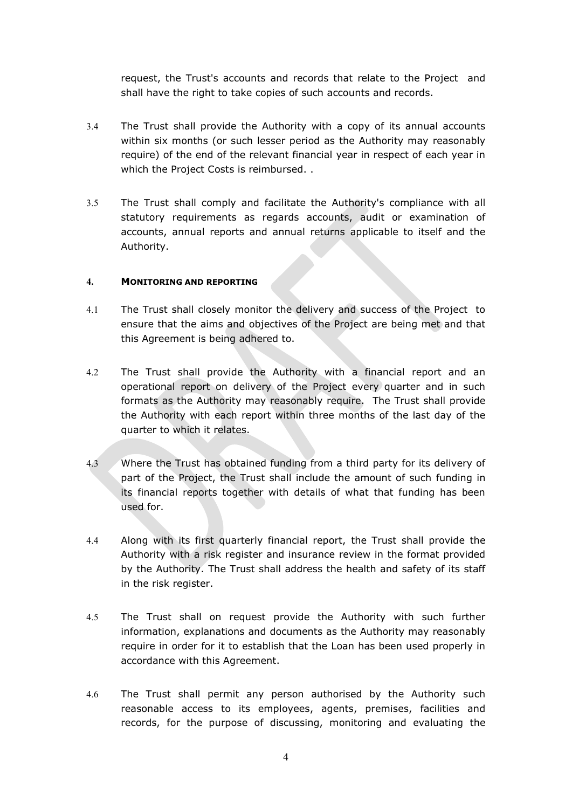request, the Trust's accounts and records that relate to the Project and shall have the right to take copies of such accounts and records.

- 3.4 The Trust shall provide the Authority with a copy of its annual accounts within six months (or such lesser period as the Authority may reasonably require) of the end of the relevant financial year in respect of each year in which the Project Costs is reimbursed. .
- 3.5 The Trust shall comply and facilitate the Authority's compliance with all statutory requirements as regards accounts, audit or examination of accounts, annual reports and annual returns applicable to itself and the Authority.

## 4. MONITORING AND REPORTING

- 4.1 The Trust shall closely monitor the delivery and success of the Project to ensure that the aims and objectives of the Project are being met and that this Agreement is being adhered to.
- 4.2 The Trust shall provide the Authority with a financial report and an operational report on delivery of the Project every quarter and in such formats as the Authority may reasonably require. The Trust shall provide the Authority with each report within three months of the last day of the quarter to which it relates.
- 4.3 Where the Trust has obtained funding from a third party for its delivery of part of the Project, the Trust shall include the amount of such funding in its financial reports together with details of what that funding has been used for.
- 4.4 Along with its first quarterly financial report, the Trust shall provide the Authority with a risk register and insurance review in the format provided by the Authority. The Trust shall address the health and safety of its staff in the risk register.
- 4.5 The Trust shall on request provide the Authority with such further information, explanations and documents as the Authority may reasonably require in order for it to establish that the Loan has been used properly in accordance with this Agreement.
- 4.6 The Trust shall permit any person authorised by the Authority such reasonable access to its employees, agents, premises, facilities and records, for the purpose of discussing, monitoring and evaluating the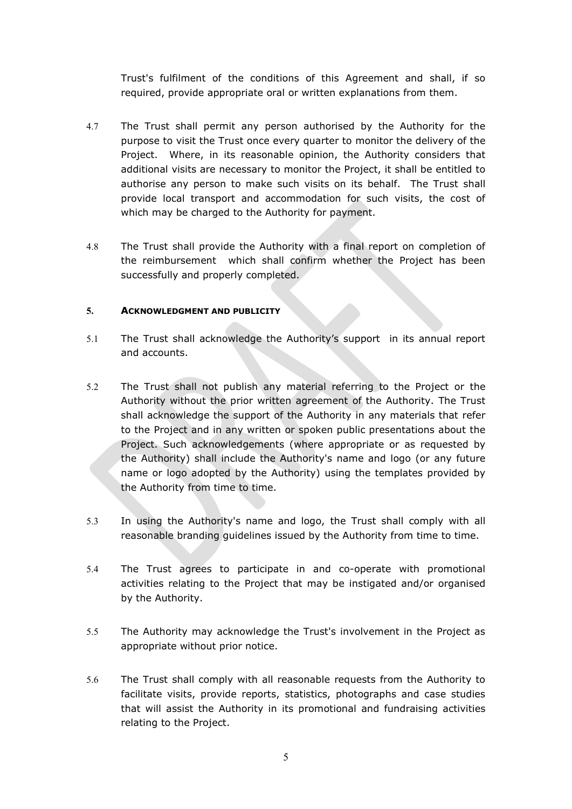Trust's fulfilment of the conditions of this Agreement and shall, if so required, provide appropriate oral or written explanations from them.

- 4.7 The Trust shall permit any person authorised by the Authority for the purpose to visit the Trust once every quarter to monitor the delivery of the Project. Where, in its reasonable opinion, the Authority considers that additional visits are necessary to monitor the Project, it shall be entitled to authorise any person to make such visits on its behalf. The Trust shall provide local transport and accommodation for such visits, the cost of which may be charged to the Authority for payment.
- 4.8 The Trust shall provide the Authority with a final report on completion of the reimbursement which shall confirm whether the Project has been successfully and properly completed.

#### 5. ACKNOWLEDGMENT AND PUBLICITY

- 5.1 The Trust shall acknowledge the Authority's support in its annual report and accounts.
- 5.2 The Trust shall not publish any material referring to the Project or the Authority without the prior written agreement of the Authority. The Trust shall acknowledge the support of the Authority in any materials that refer to the Project and in any written or spoken public presentations about the Project. Such acknowledgements (where appropriate or as requested by the Authority) shall include the Authority's name and logo (or any future name or logo adopted by the Authority) using the templates provided by the Authority from time to time.
- 5.3 In using the Authority's name and logo, the Trust shall comply with all reasonable branding guidelines issued by the Authority from time to time.
- 5.4 The Trust agrees to participate in and co-operate with promotional activities relating to the Project that may be instigated and/or organised by the Authority.
- 5.5 The Authority may acknowledge the Trust's involvement in the Project as appropriate without prior notice.
- 5.6 The Trust shall comply with all reasonable requests from the Authority to facilitate visits, provide reports, statistics, photographs and case studies that will assist the Authority in its promotional and fundraising activities relating to the Project.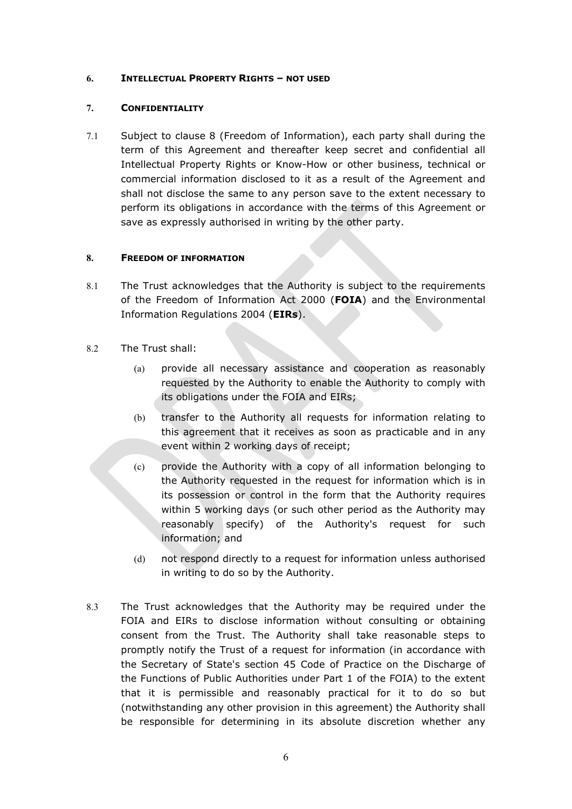## 6. INTELLECTUAL PROPERTY RIGHTS – NOT USED

## 7. CONFIDENTIALITY

7.1 Subject to clause 8 (Freedom of Information), each party shall during the term of this Agreement and thereafter keep secret and confidential all Intellectual Property Rights or Know-How or other business, technical or commercial information disclosed to it as a result of the Agreement and shall not disclose the same to any person save to the extent necessary to perform its obligations in accordance with the terms of this Agreement or save as expressly authorised in writing by the other party.

## 8. FREEDOM OF INFORMATION

- 8.1 The Trust acknowledges that the Authority is subject to the requirements of the Freedom of Information Act 2000 (FOIA) and the Environmental Information Regulations 2004 (EIRs).
- 8.2 The Trust shall:
	- (a) provide all necessary assistance and cooperation as reasonably requested by the Authority to enable the Authority to comply with its obligations under the FOIA and EIRs;
	- (b) transfer to the Authority all requests for information relating to this agreement that it receives as soon as practicable and in any event within 2 working days of receipt;
	- (c) provide the Authority with a copy of all information belonging to the Authority requested in the request for information which is in its possession or control in the form that the Authority requires within 5 working days (or such other period as the Authority may reasonably specify) of the Authority's request for such information; and
	- (d) not respond directly to a request for information unless authorised in writing to do so by the Authority.
- 8.3 The Trust acknowledges that the Authority may be required under the FOIA and EIRs to disclose information without consulting or obtaining consent from the Trust. The Authority shall take reasonable steps to promptly notify the Trust of a request for information (in accordance with the Secretary of State's section 45 Code of Practice on the Discharge of the Functions of Public Authorities under Part 1 of the FOIA) to the extent that it is permissible and reasonably practical for it to do so but (notwithstanding any other provision in this agreement) the Authority shall be responsible for determining in its absolute discretion whether any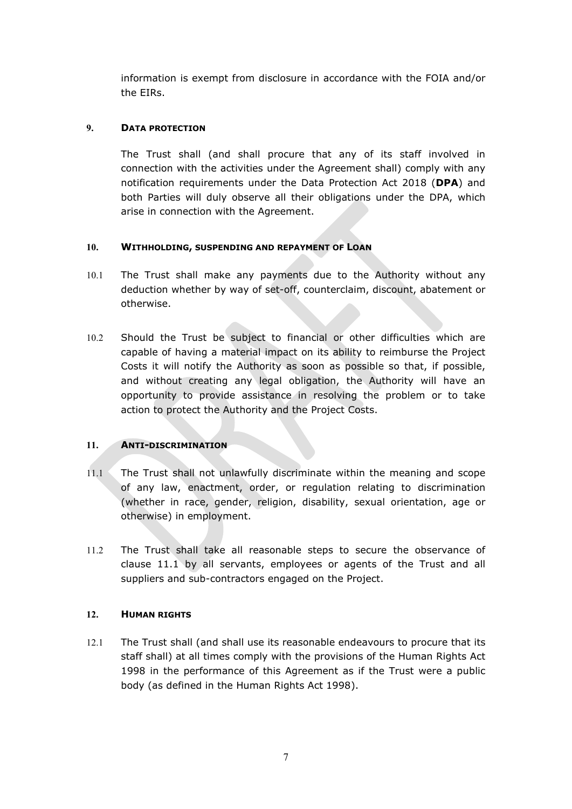information is exempt from disclosure in accordance with the FOIA and/or the EIRs.

## 9. DATA PROTECTION

The Trust shall (and shall procure that any of its staff involved in connection with the activities under the Agreement shall) comply with any notification requirements under the Data Protection Act 2018 (DPA) and both Parties will duly observe all their obligations under the DPA, which arise in connection with the Agreement.

## 10. WITHHOLDING, SUSPENDING AND REPAYMENT OF LOAN

- 10.1 The Trust shall make any payments due to the Authority without any deduction whether by way of set-off, counterclaim, discount, abatement or otherwise.
- 10.2 Should the Trust be subject to financial or other difficulties which are capable of having a material impact on its ability to reimburse the Project Costs it will notify the Authority as soon as possible so that, if possible, and without creating any legal obligation, the Authority will have an opportunity to provide assistance in resolving the problem or to take action to protect the Authority and the Project Costs.

## 11. ANTI-DISCRIMINATION

- $11.1$  The Trust shall not unlawfully discriminate within the meaning and scope of any law, enactment, order, or regulation relating to discrimination (whether in race, gender, religion, disability, sexual orientation, age or otherwise) in employment.
- 11.2 The Trust shall take all reasonable steps to secure the observance of clause 11.1 by all servants, employees or agents of the Trust and all suppliers and sub-contractors engaged on the Project.

## 12. HUMAN RIGHTS

12.1 The Trust shall (and shall use its reasonable endeavours to procure that its staff shall) at all times comply with the provisions of the Human Rights Act 1998 in the performance of this Agreement as if the Trust were a public body (as defined in the Human Rights Act 1998).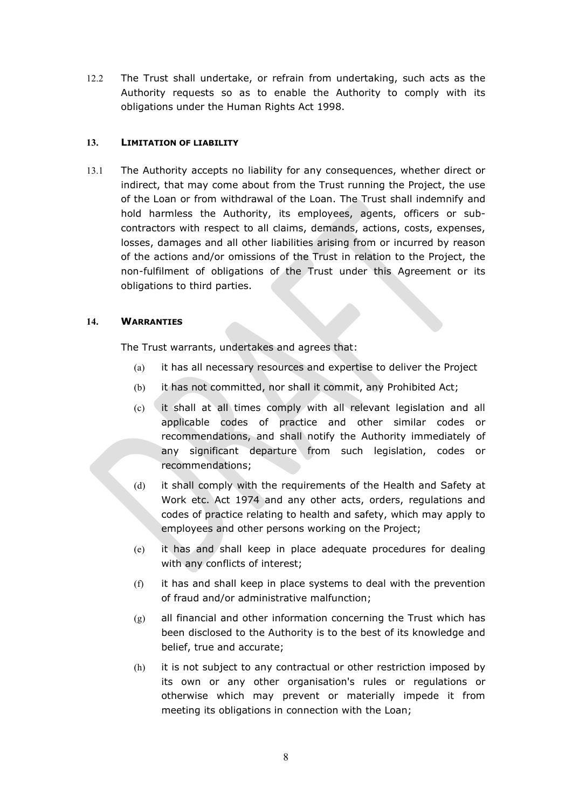12.2 The Trust shall undertake, or refrain from undertaking, such acts as the Authority requests so as to enable the Authority to comply with its obligations under the Human Rights Act 1998.

## 13. LIMITATION OF LIABILITY

13.1 The Authority accepts no liability for any consequences, whether direct or indirect, that may come about from the Trust running the Project, the use of the Loan or from withdrawal of the Loan. The Trust shall indemnify and hold harmless the Authority, its employees, agents, officers or subcontractors with respect to all claims, demands, actions, costs, expenses, losses, damages and all other liabilities arising from or incurred by reason of the actions and/or omissions of the Trust in relation to the Project, the non-fulfilment of obligations of the Trust under this Agreement or its obligations to third parties.

## 14. WARRANTIES

The Trust warrants, undertakes and agrees that:

- (a) it has all necessary resources and expertise to deliver the Project
- (b) it has not committed, nor shall it commit, any Prohibited Act;
- (c) it shall at all times comply with all relevant legislation and all applicable codes of practice and other similar codes or recommendations, and shall notify the Authority immediately of any significant departure from such legislation, codes or recommendations;
- (d) it shall comply with the requirements of the Health and Safety at Work etc. Act 1974 and any other acts, orders, regulations and codes of practice relating to health and safety, which may apply to employees and other persons working on the Project;
- (e) it has and shall keep in place adequate procedures for dealing with any conflicts of interest;
- (f) it has and shall keep in place systems to deal with the prevention of fraud and/or administrative malfunction;
- $(g)$  all financial and other information concerning the Trust which has been disclosed to the Authority is to the best of its knowledge and belief, true and accurate;
- (h) it is not subject to any contractual or other restriction imposed by its own or any other organisation's rules or regulations or otherwise which may prevent or materially impede it from meeting its obligations in connection with the Loan;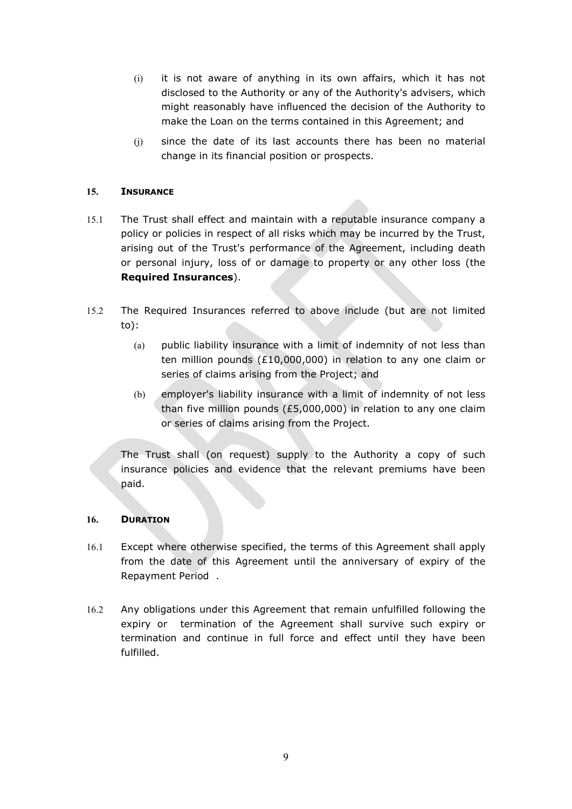- (i) it is not aware of anything in its own affairs, which it has not disclosed to the Authority or any of the Authority's advisers, which might reasonably have influenced the decision of the Authority to make the Loan on the terms contained in this Agreement; and
- (j) since the date of its last accounts there has been no material change in its financial position or prospects.

## 15. INSURANCE

- 15.1 The Trust shall effect and maintain with a reputable insurance company a policy or policies in respect of all risks which may be incurred by the Trust, arising out of the Trust's performance of the Agreement, including death or personal injury, loss of or damage to property or any other loss (the Required Insurances).
- 15.2 The Required Insurances referred to above include (but are not limited to):
	- (a) public liability insurance with a limit of indemnity of not less than ten million pounds (£10,000,000) in relation to any one claim or series of claims arising from the Project; and
	- (b) employer's liability insurance with a limit of indemnity of not less than five million pounds (£5,000,000) in relation to any one claim or series of claims arising from the Project.

The Trust shall (on request) supply to the Authority a copy of such insurance policies and evidence that the relevant premiums have been paid.

### 16. DURATION

- 16.1 Except where otherwise specified, the terms of this Agreement shall apply from the date of this Agreement until the anniversary of expiry of the Repayment Period .
- 16.2 Any obligations under this Agreement that remain unfulfilled following the expiry or termination of the Agreement shall survive such expiry or termination and continue in full force and effect until they have been fulfilled.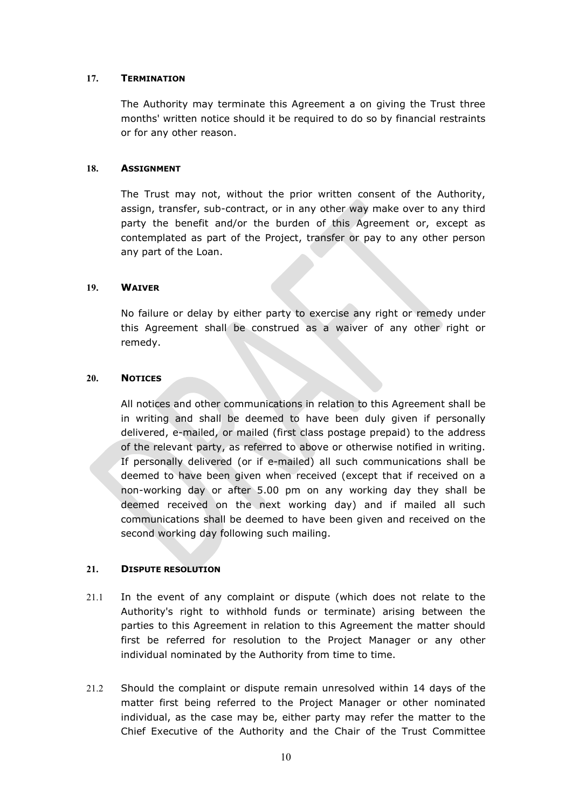## 17. TERMINATION

The Authority may terminate this Agreement a on giving the Trust three months' written notice should it be required to do so by financial restraints or for any other reason.

### 18. ASSIGNMENT

The Trust may not, without the prior written consent of the Authority, assign, transfer, sub-contract, or in any other way make over to any third party the benefit and/or the burden of this Agreement or, except as contemplated as part of the Project, transfer or pay to any other person any part of the Loan.

## 19. WAIVER

No failure or delay by either party to exercise any right or remedy under this Agreement shall be construed as a waiver of any other right or remedy.

## 20. NOTICES

All notices and other communications in relation to this Agreement shall be in writing and shall be deemed to have been duly given if personally delivered, e-mailed, or mailed (first class postage prepaid) to the address of the relevant party, as referred to above or otherwise notified in writing. If personally delivered (or if e-mailed) all such communications shall be deemed to have been given when received (except that if received on a non-working day or after 5.00 pm on any working day they shall be deemed received on the next working day) and if mailed all such communications shall be deemed to have been given and received on the second working day following such mailing.

## 21. DISPUTE RESOLUTION

- 21.1 In the event of any complaint or dispute (which does not relate to the Authority's right to withhold funds or terminate) arising between the parties to this Agreement in relation to this Agreement the matter should first be referred for resolution to the Project Manager or any other individual nominated by the Authority from time to time.
- 21.2 Should the complaint or dispute remain unresolved within 14 days of the matter first being referred to the Project Manager or other nominated individual, as the case may be, either party may refer the matter to the Chief Executive of the Authority and the Chair of the Trust Committee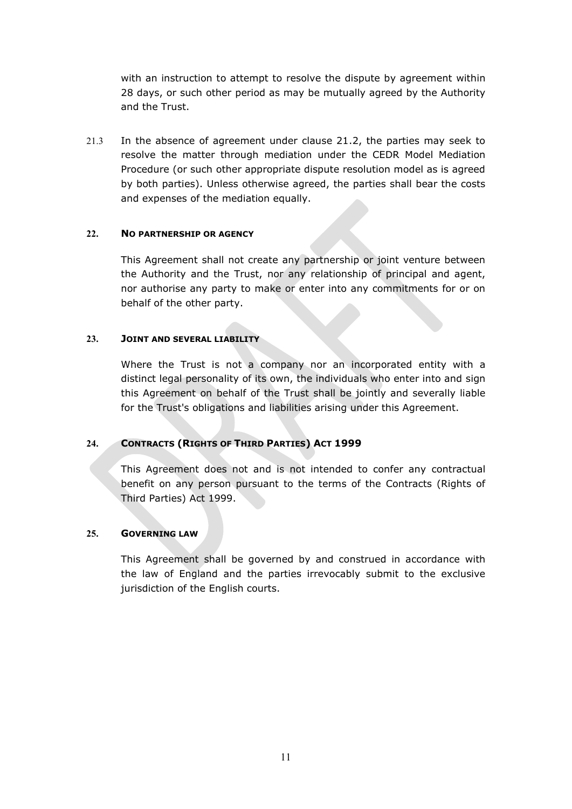with an instruction to attempt to resolve the dispute by agreement within 28 days, or such other period as may be mutually agreed by the Authority and the Trust.

21.3 In the absence of agreement under clause 21.2, the parties may seek to resolve the matter through mediation under the CEDR Model Mediation Procedure (or such other appropriate dispute resolution model as is agreed by both parties). Unless otherwise agreed, the parties shall bear the costs and expenses of the mediation equally.

### 22. NO PARTNERSHIP OR AGENCY

This Agreement shall not create any partnership or joint venture between the Authority and the Trust, nor any relationship of principal and agent, nor authorise any party to make or enter into any commitments for or on behalf of the other party.

## 23. JOINT AND SEVERAL LIABILITY

Where the Trust is not a company nor an incorporated entity with a distinct legal personality of its own, the individuals who enter into and sign this Agreement on behalf of the Trust shall be jointly and severally liable for the Trust's obligations and liabilities arising under this Agreement.

## 24. CONTRACTS (RIGHTS OF THIRD PARTIES) ACT 1999

This Agreement does not and is not intended to confer any contractual benefit on any person pursuant to the terms of the Contracts (Rights of Third Parties) Act 1999.

### 25. GOVERNING LAW

This Agreement shall be governed by and construed in accordance with the law of England and the parties irrevocably submit to the exclusive jurisdiction of the English courts.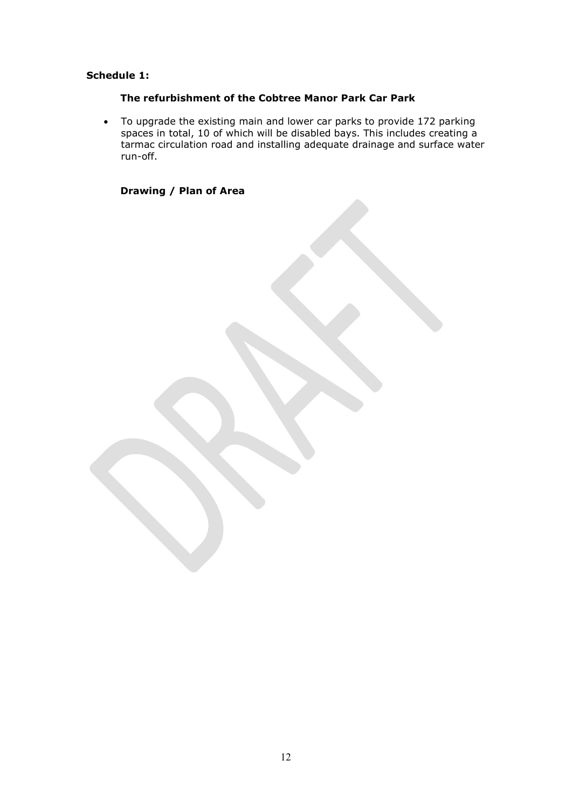# Schedule 1:

# The refurbishment of the Cobtree Manor Park Car Park

 To upgrade the existing main and lower car parks to provide 172 parking spaces in total, 10 of which will be disabled bays. This includes creating a tarmac circulation road and installing adequate drainage and surface water run-off.

## Drawing / Plan of Area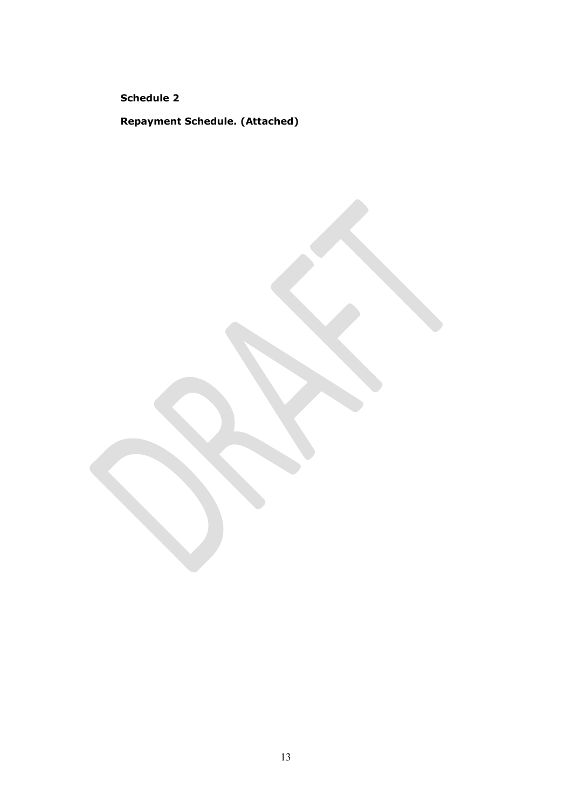Schedule 2

Repayment Schedule. (Attached)